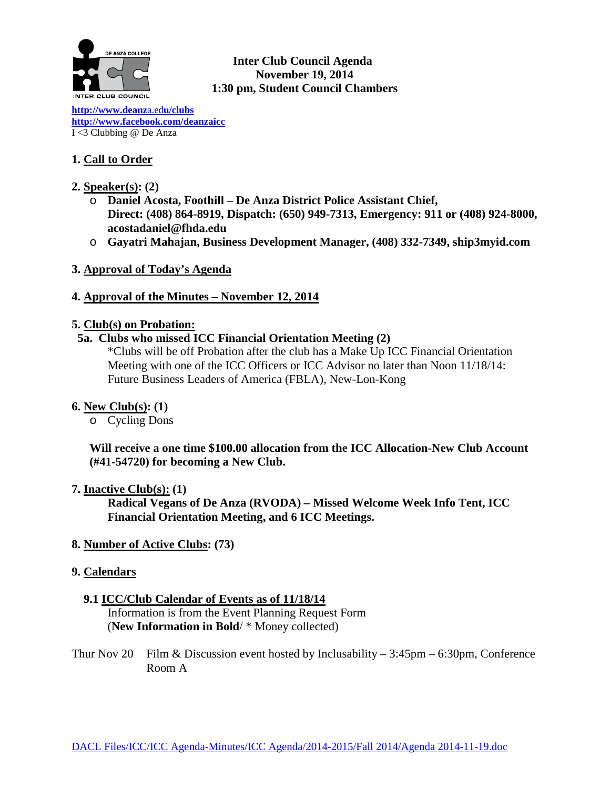

**Inter Club Council Agenda November 19, 2014 1:30 pm, Student Council Chambers** 

**[http://www.deanz](http://www.deanza.edu/clubs)**a.ed**u/clubs [http://www.facebook.com/deanzaicc](http://www.facebook.com/home.php%23!/group.php?gid=59034552686)** I <3 Clubbing @ De Anza

# **1. Call to Order**

- **2. Speaker(s): (2)**
	- o **Daniel Acosta, Foothill – De Anza District Police Assistant Chief, Direct: (408) 864-8919, Dispatch: (650) 949-7313, Emergency: 911 or (408) 924-8000, acostadaniel@fhda.edu**
	- o **Gayatri Mahajan, Business Development Manager, (408) 332-7349, ship3myid.com**
- **3. Approval of Today's Agenda**

## **4. Approval of the Minutes – November 12, 2014**

### **5. Club(s) on Probation:**

### **5a. Clubs who missed ICC Financial Orientation Meeting (2)**

\*Clubs will be off Probation after the club has a Make Up ICC Financial Orientation Meeting with one of the ICC Officers or ICC Advisor no later than Noon 11/18/14: Future Business Leaders of America (FBLA), New-Lon-Kong

### **6. New Club(s): (1)**

o Cycling Dons

**Will receive a one time \$100.00 allocation from the ICC Allocation-New Club Account (#41-54720) for becoming a New Club.**

### **7. Inactive Club(s): (1)**

**Radical Vegans of De Anza (RVODA) – Missed Welcome Week Info Tent, ICC Financial Orientation Meeting, and 6 ICC Meetings.**

**8. Number of Active Clubs: (73)**

### **9. Calendars**

### **9.1 ICC/Club Calendar of Events as of 11/18/14**

 Information is from the Event Planning Request Form (**New Information in Bold**/ \* Money collected)

Thur Nov 20 Film & Discussion event hosted by Inclusability  $-3:45\text{pm} - 6:30\text{pm}$ , Conference Room A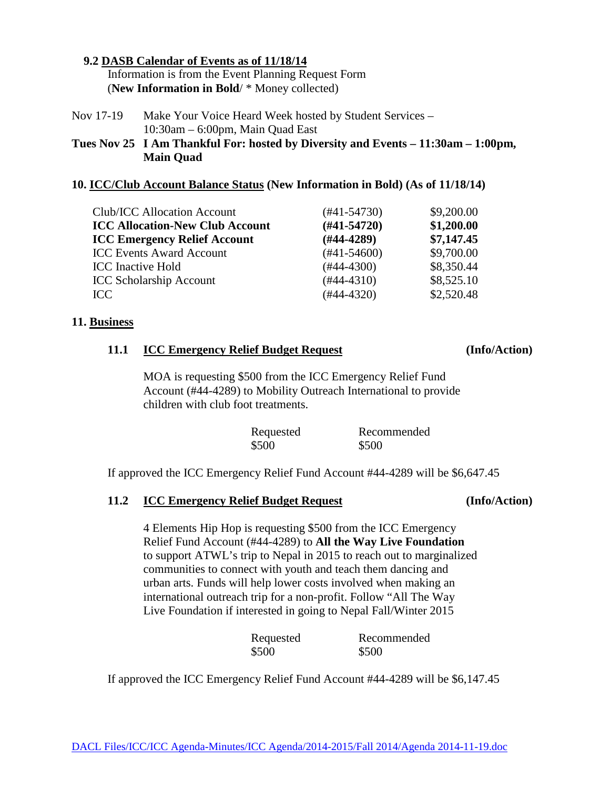# **9.2 DASB Calendar of Events as of 11/18/14**

 Information is from the Event Planning Request Form (**New Information in Bold**/ \* Money collected)

Nov 17-19 Make Your Voice Heard Week hosted by Student Services – 10:30am – 6:00pm, Main Quad East

**Tues Nov 25 I Am Thankful For: hosted by Diversity and Events – 11:30am – 1:00pm, Main Quad**

# **10. ICC/Club Account Balance Status (New Information in Bold) (As of 11/18/14)**

| Club/ICC Allocation Account            | $(#41-54730)$    | \$9,200.00 |
|----------------------------------------|------------------|------------|
| <b>ICC Allocation-New Club Account</b> | $(H41-54720)$    | \$1,200.00 |
| <b>ICC Emergency Relief Account</b>    | $(#44-4289)$     | \$7,147.45 |
| <b>ICC Events Award Account</b>        | $(\#41 - 54600)$ | \$9,700.00 |
| <b>ICC</b> Inactive Hold               | $(#44-4300)$     | \$8,350.44 |
| <b>ICC Scholarship Account</b>         | $(#44-4310)$     | \$8,525.10 |
| ICC                                    | $(#44-4320)$     | \$2,520.48 |
|                                        |                  |            |

# **11. Business**

# **11.1 ICC Emergency Relief Budget Request (Info/Action)**

## MOA is requesting \$500 from the ICC Emergency Relief Fund Account (#44-4289) to Mobility Outreach International to provide children with club foot treatments.

| Requested | Recommended |
|-----------|-------------|
| \$500     | \$500       |

If approved the ICC Emergency Relief Fund Account #44-4289 will be \$6,647.45

# **11.2 ICC Emergency Relief Budget Request (Info/Action)**

## 4 Elements Hip Hop is requesting \$500 from the ICC Emergency Relief Fund Account (#44-4289) to **All the Way Live Foundation** to support ATWL's trip to Nepal in 2015 to reach out to marginalized communities to connect with youth and teach them dancing and urban arts. Funds will help lower costs involved when making an international outreach trip for a non-profit. Follow "All The Way Live Foundation if interested in going to Nepal Fall/Winter 2015

| Requested | Recommended |
|-----------|-------------|
| \$500     | \$500       |

If approved the ICC Emergency Relief Fund Account #44-4289 will be \$6,147.45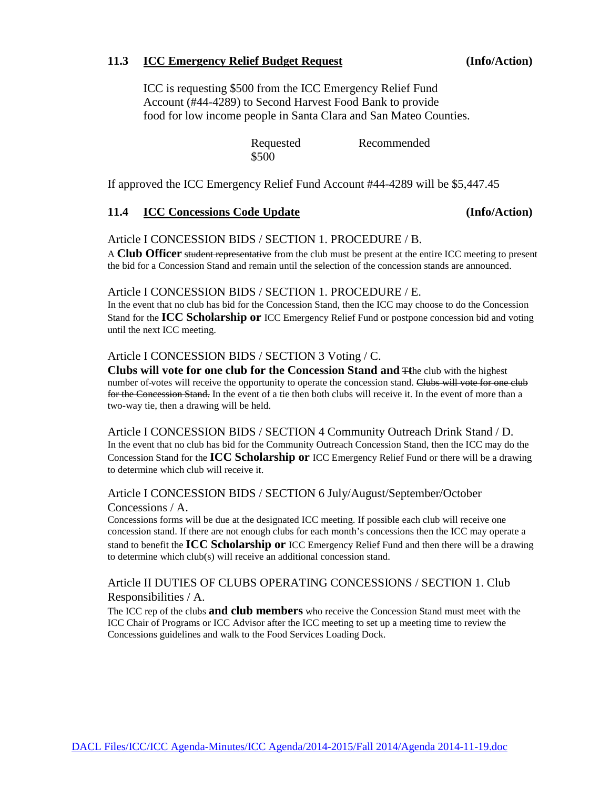#### **11.3 ICC Emergency Relief Budget Request (Info/Action)**

ICC is requesting \$500 from the ICC Emergency Relief Fund Account (#44-4289) to Second Harvest Food Bank to provide food for low income people in Santa Clara and San Mateo Counties.

> Requested Recommended \$500

If approved the ICC Emergency Relief Fund Account #44-4289 will be \$5,447.45

### **11.4 ICC Concessions Code Update (Info/Action)**

#### Article I CONCESSION BIDS / SECTION 1. PROCEDURE / B.

A **Club Officer** student representative from the club must be present at the entire ICC meeting to present the bid for a Concession Stand and remain until the selection of the concession stands are announced.

#### Article I CONCESSION BIDS / SECTION 1. PROCEDURE / E.

In the event that no club has bid for the Concession Stand, then the ICC may choose to do the Concession Stand for the **ICC Scholarship or** ICC Emergency Relief Fund or postpone concession bid and voting until the next ICC meeting.

#### Article I CONCESSION BIDS / SECTION 3 Voting / C.

**Clubs will vote for one club for the Concession Stand and** T**t**he club with the highest number of-votes will receive the opportunity to operate the concession stand. Clubs will vote for one club for the Concession Stand. In the event of a tie then both clubs will receive it. In the event of more than a two-way tie, then a drawing will be held.

Article I CONCESSION BIDS / SECTION 4 Community Outreach Drink Stand / D. In the event that no club has bid for the Community Outreach Concession Stand, then the ICC may do the Concession Stand for the **ICC Scholarship or** ICC Emergency Relief Fund or there will be a drawing to determine which club will receive it.

### Article I CONCESSION BIDS / SECTION 6 July/August/September/October Concessions / A.

Concessions forms will be due at the designated ICC meeting. If possible each club will receive one concession stand. If there are not enough clubs for each month's concessions then the ICC may operate a stand to benefit the **ICC Scholarship or** ICC Emergency Relief Fund and then there will be a drawing to determine which club(s) will receive an additional concession stand.

### Article II DUTIES OF CLUBS OPERATING CONCESSIONS / SECTION 1. Club Responsibilities / A.

The ICC rep of the clubs **and club members** who receive the Concession Stand must meet with the ICC Chair of Programs or ICC Advisor after the ICC meeting to set up a meeting time to review the Concessions guidelines and walk to the Food Services Loading Dock.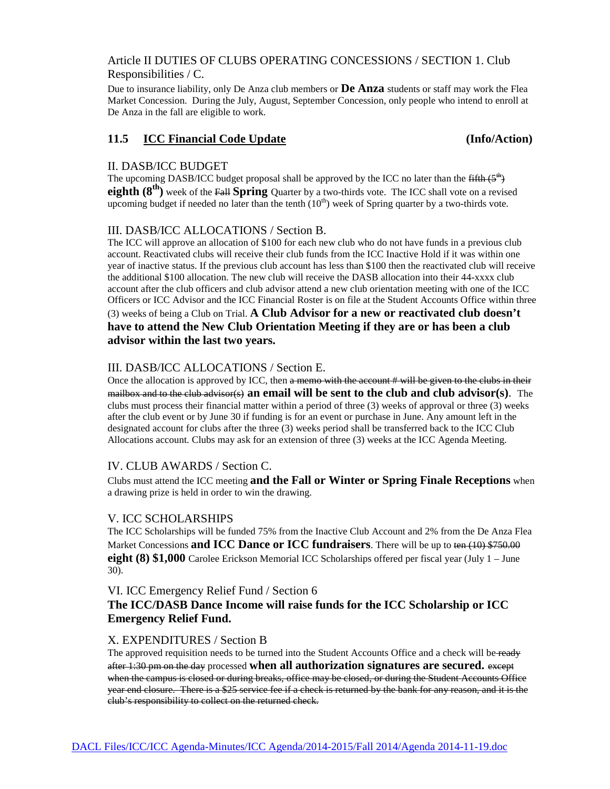## Article II DUTIES OF CLUBS OPERATING CONCESSIONS / SECTION 1. Club Responsibilities / C.

Due to insurance liability, only De Anza club members or **De Anza** students or staff may work the Flea Market Concession. During the July, August, September Concession, only people who intend to enroll at De Anza in the fall are eligible to work.

### **11.5 ICC Financial Code Update (Info/Action)**

#### II. DASB/ICC BUDGET

The upcoming DASB/ICC budget proposal shall be approved by the ICC no later than the  $\frac{f\{f\{th\}}}{f}$ **eighth (8<sup>th</sup>)** week of the Fall **Spring** Quarter by a two-thirds vote. The ICC shall vote on a revised upcoming budget if needed no later than the tenth  $(10<sup>th</sup>)$  week of Spring quarter by a two-thirds vote.

## III. DASB/ICC ALLOCATIONS / Section B.

The ICC will approve an allocation of \$100 for each new club who do not have funds in a previous club account. Reactivated clubs will receive their club funds from the ICC Inactive Hold if it was within one year of inactive status. If the previous club account has less than \$100 then the reactivated club will receive the additional \$100 allocation. The new club will receive the DASB allocation into their 44-xxxx club account after the club officers and club advisor attend a new club orientation meeting with one of the ICC Officers or ICC Advisor and the ICC Financial Roster is on file at the Student Accounts Office within three (3) weeks of being a Club on Trial. **A Club Advisor for a new or reactivated club doesn't have to attend the New Club Orientation Meeting if they are or has been a club advisor within the last two years.**

### III. DASB/ICC ALLOCATIONS / Section E.

Once the allocation is approved by ICC, then a memo with the account # will be given to the clubs in their mailbox and to the club advisor(s) **an email will be sent to the club and club advisor(s)**. The clubs must process their financial matter within a period of three (3) weeks of approval or three (3) weeks after the club event or by June 30 if funding is for an event or purchase in June. Any amount left in the designated account for clubs after the three (3) weeks period shall be transferred back to the ICC Club Allocations account. Clubs may ask for an extension of three (3) weeks at the ICC Agenda Meeting.

### IV. CLUB AWARDS / Section C.

Clubs must attend the ICC meeting **and the Fall or Winter or Spring Finale Receptions** when a drawing prize is held in order to win the drawing.

### V. ICC SCHOLARSHIPS

The ICC Scholarships will be funded 75% from the Inactive Club Account and 2% from the De Anza Flea Market Concessions **and ICC Dance or ICC fundraisers**. There will be up to ten (10) \$750.00 **eight (8) \$1,000** Carolee Erickson Memorial ICC Scholarships offered per fiscal year (July 1 – June 30).

### VI. ICC Emergency Relief Fund / Section 6

# **The ICC/DASB Dance Income will raise funds for the ICC Scholarship or ICC Emergency Relief Fund.**

#### X. EXPENDITURES / Section B

The approved requisition needs to be turned into the Student Accounts Office and a check will be-ready after 1:30 pm on the day processed **when all authorization signatures are secured.** except when the campus is closed or during breaks, office may be closed, or during the Student Accounts Office year end closure. There is a \$25 service fee if a check is returned by the bank for any reason, and it is the club's responsibility to collect on the returned check.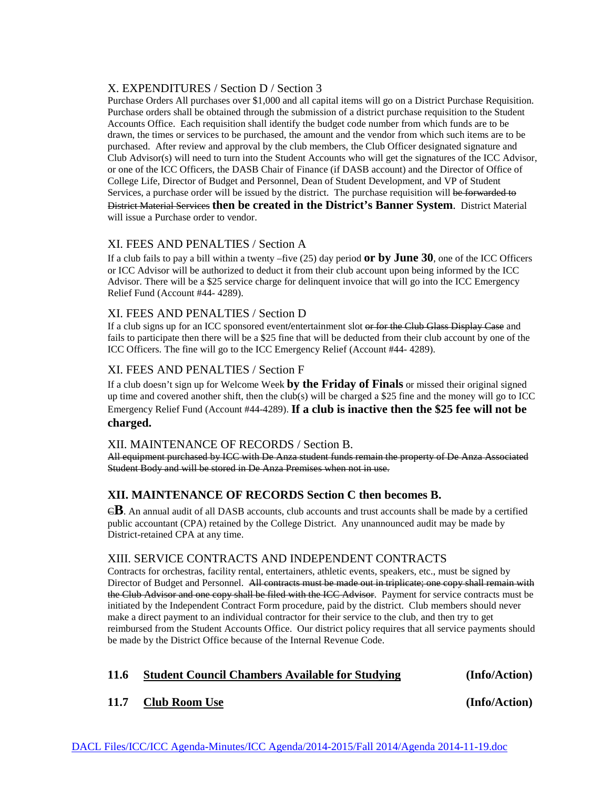#### X. EXPENDITURES / Section D / Section 3

Purchase Orders All purchases over \$1,000 and all capital items will go on a District Purchase Requisition. Purchase orders shall be obtained through the submission of a district purchase requisition to the Student Accounts Office. Each requisition shall identify the budget code number from which funds are to be drawn, the times or services to be purchased, the amount and the vendor from which such items are to be purchased. After review and approval by the club members, the Club Officer designated signature and Club Advisor(s) will need to turn into the Student Accounts who will get the signatures of the ICC Advisor, or one of the ICC Officers, the DASB Chair of Finance (if DASB account) and the Director of Office of College Life, Director of Budget and Personnel, Dean of Student Development, and VP of Student Services, a purchase order will be issued by the district. The purchase requisition will be forwarded to District Material Services **then be created in the District's Banner System**. District Material will issue a Purchase order to vendor.

### XI. FEES AND PENALTIES / Section A

If a club fails to pay a bill within a twenty –five (25) day period **or by June 30**, one of the ICC Officers or ICC Advisor will be authorized to deduct it from their club account upon being informed by the ICC Advisor. There will be a \$25 service charge for delinquent invoice that will go into the ICC Emergency Relief Fund (Account #44- 4289).

#### XI. FEES AND PENALTIES / Section D

If a club signs up for an ICC sponsored event**/**entertainment slot or for the Club Glass Display Case and fails to participate then there will be a \$25 fine that will be deducted from their club account by one of the ICC Officers. The fine will go to the ICC Emergency Relief (Account #44- 4289).

### XI. FEES AND PENALTIES / Section F

If a club doesn't sign up for Welcome Week **by the Friday of Finals** or missed their original signed up time and covered another shift, then the club(s) will be charged a \$25 fine and the money will go to ICC Emergency Relief Fund (Account #44-4289). **If a club is inactive then the \$25 fee will not be charged.**

#### XII. MAINTENANCE OF RECORDS / Section B.

All equipment purchased by ICC with De Anza student funds remain the property of De Anza Associated Student Body and will be stored in De Anza Premises when not in use.

### **XII. MAINTENANCE OF RECORDS Section C then becomes B.**

C**B**. An annual audit of all DASB accounts, club accounts and trust accounts shall be made by a certified public accountant (CPA) retained by the College District. Any unannounced audit may be made by District-retained CPA at any time.

### XIII. SERVICE CONTRACTS AND INDEPENDENT CONTRACTS

Contracts for orchestras, facility rental, entertainers, athletic events, speakers, etc., must be signed by Director of Budget and Personnel. All contracts must be made out in triplicate; one copy shall remain with the Club Advisor and one copy shall be filed with the ICC Advisor. Payment for service contracts must be initiated by the Independent Contract Form procedure, paid by the district. Club members should never make a direct payment to an individual contractor for their service to the club, and then try to get reimbursed from the Student Accounts Office. Our district policy requires that all service payments should be made by the District Office because of the Internal Revenue Code.

### **11.6 Student Council Chambers Available for Studying (Info/Action)**

### **11.7 Club Room Use (Info/Action)**